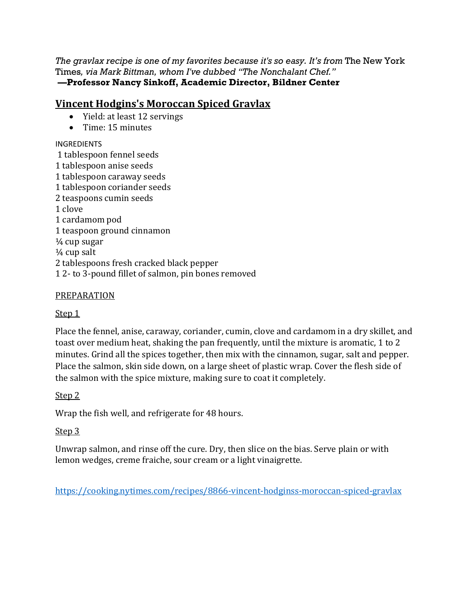*The gravlax recipe is one of my favorites because it's so easy. It's from* The New York Times*, via Mark Bittman, whom I've dubbed "The Nonchalant Chef."*   **—Professor Nancy Sinkoff, Academic Director, Bildner Center** 

## **Vincent Hodgins's Moroccan Spiced Gravlax**

- Yield: at least 12 servings
- Time: 15 minutes

#### INGREDIENTS

 1 tablespoon fennel seeds 1 tablespoon anise seeds 1 tablespoon caraway seeds 1 tablespoon coriander seeds 2 teaspoons cumin seeds 1 clove 1 cardamom pod 1 teaspoon ground cinnamon ¼ cup sugar  $\frac{1}{4}$  cup salt 2 tablespoons fresh cracked black pepper 1 2- to 3-pound fillet of salmon, pin bones removed

#### PREPARATION

### Step 1

Place the fennel, anise, caraway, coriander, cumin, clove and cardamom in a dry skillet, and toast over medium heat, shaking the pan frequently, until the mixture is aromatic, 1 to 2 minutes. Grind all the spices together, then mix with the cinnamon, sugar, salt and pepper. Place the salmon, skin side down, on a large sheet of plastic wrap. Cover the flesh side of the salmon with the spice mixture, making sure to coat it completely.

### Step 2

Wrap the fish well, and refrigerate for 48 hours.

### Step 3

Unwrap salmon, and rinse off the cure. Dry, then slice on the bias. Serve plain or with lemon wedges, creme fraiche, sour cream or a light vinaigrette.

https://cooking.nytimes.com/recipes/8866-vincent-hodginss-moroccan-spiced-gravlax